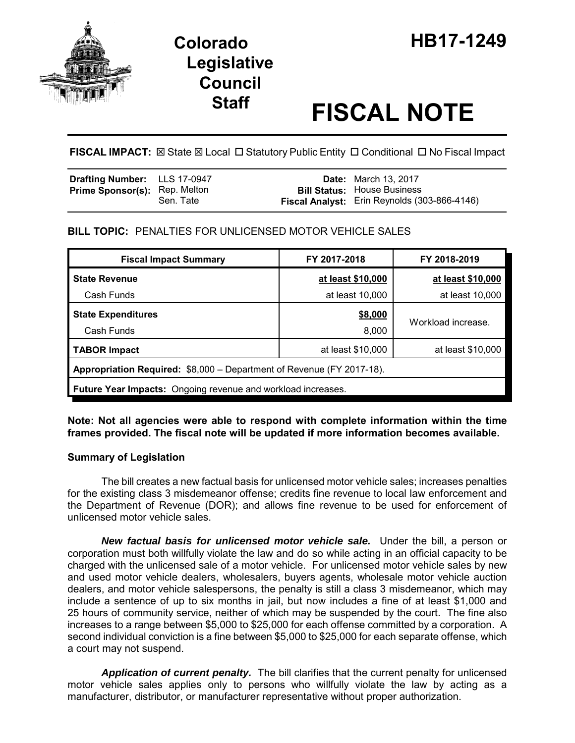

# **Legislative Council**

# **Staff FISCAL NOTE**

FISCAL IMPACT:  $\boxtimes$  State  $\boxtimes$  Local  $\Box$  Statutory Public Entity  $\Box$  Conditional  $\Box$  No Fiscal Impact

| <b>Drafting Number:</b> LLS 17-0947  |           | <b>Date:</b> March 13, 2017                                                        |
|--------------------------------------|-----------|------------------------------------------------------------------------------------|
| <b>Prime Sponsor(s): Rep. Melton</b> | Sen. Tate | <b>Bill Status: House Business</b><br>Fiscal Analyst: Erin Reynolds (303-866-4146) |

## **BILL TOPIC:** PENALTIES FOR UNLICENSED MOTOR VEHICLE SALES

| <b>Fiscal Impact Summary</b>                                          | FY 2017-2018      | FY 2018-2019       |  |  |  |  |
|-----------------------------------------------------------------------|-------------------|--------------------|--|--|--|--|
| <b>State Revenue</b>                                                  | at least \$10,000 | at least \$10,000  |  |  |  |  |
| Cash Funds                                                            | at least 10,000   | at least 10,000    |  |  |  |  |
| <b>State Expenditures</b>                                             | \$8,000           |                    |  |  |  |  |
| Cash Funds                                                            | 8,000             | Workload increase. |  |  |  |  |
| <b>TABOR Impact</b>                                                   | at least \$10,000 | at least \$10,000  |  |  |  |  |
| Appropriation Required: \$8,000 - Department of Revenue (FY 2017-18). |                   |                    |  |  |  |  |
| Future Year Impacts: Ongoing revenue and workload increases.          |                   |                    |  |  |  |  |

**Note: Not all agencies were able to respond with complete information within the time frames provided. The fiscal note will be updated if more information becomes available.**

## **Summary of Legislation**

The bill creates a new factual basis for unlicensed motor vehicle sales; increases penalties for the existing class 3 misdemeanor offense; credits fine revenue to local law enforcement and the Department of Revenue (DOR); and allows fine revenue to be used for enforcement of unlicensed motor vehicle sales.

*New factual basis for unlicensed motor vehicle sale.* Under the bill, a person or corporation must both willfully violate the law and do so while acting in an official capacity to be charged with the unlicensed sale of a motor vehicle. For unlicensed motor vehicle sales by new and used motor vehicle dealers, wholesalers, buyers agents, wholesale motor vehicle auction dealers, and motor vehicle salespersons, the penalty is still a class 3 misdemeanor, which may include a sentence of up to six months in jail, but now includes a fine of at least \$1,000 and 25 hours of community service, neither of which may be suspended by the court. The fine also increases to a range between \$5,000 to \$25,000 for each offense committed by a corporation. A second individual conviction is a fine between \$5,000 to \$25,000 for each separate offense, which a court may not suspend.

*Application of current penalty.* The bill clarifies that the current penalty for unlicensed motor vehicle sales applies only to persons who willfully violate the law by acting as a manufacturer, distributor, or manufacturer representative without proper authorization.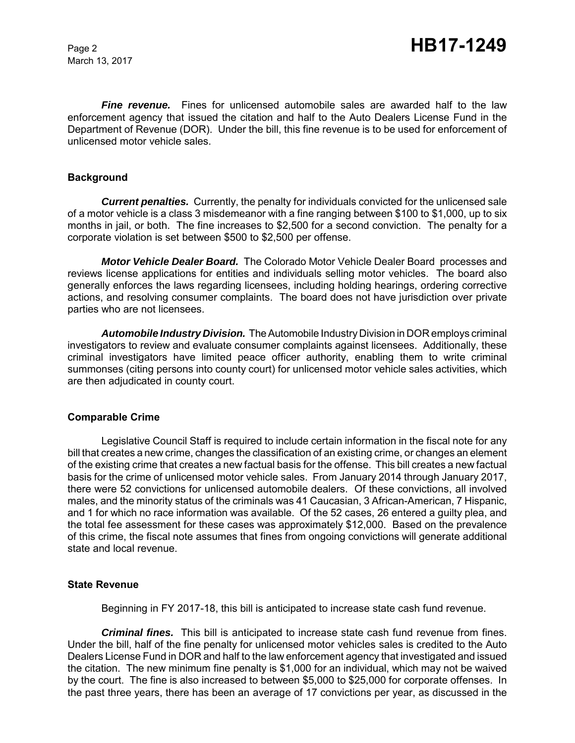March 13, 2017

*Fine revenue.* Fines for unlicensed automobile sales are awarded half to the law enforcement agency that issued the citation and half to the Auto Dealers License Fund in the Department of Revenue (DOR). Under the bill, this fine revenue is to be used for enforcement of unlicensed motor vehicle sales.

#### **Background**

*Current penalties.* Currently, the penalty for individuals convicted for the unlicensed sale of a motor vehicle is a class 3 misdemeanor with a fine ranging between \$100 to \$1,000, up to six months in jail, or both. The fine increases to \$2,500 for a second conviction. The penalty for a corporate violation is set between \$500 to \$2,500 per offense.

*Motor Vehicle Dealer Board.* The Colorado Motor Vehicle Dealer Board processes and reviews license applications for entities and individuals selling motor vehicles. The board also generally enforces the laws regarding licensees, including holding hearings, ordering corrective actions, and resolving consumer complaints. The board does not have jurisdiction over private parties who are not licensees.

*Automobile Industry Division.* The Automobile Industry Division in DOR employs criminal investigators to review and evaluate consumer complaints against licensees. Additionally, these criminal investigators have limited peace officer authority, enabling them to write criminal summonses (citing persons into county court) for unlicensed motor vehicle sales activities, which are then adjudicated in county court.

#### **Comparable Crime**

Legislative Council Staff is required to include certain information in the fiscal note for any bill that creates a new crime, changes the classification of an existing crime, or changes an element of the existing crime that creates a new factual basis for the offense. This bill creates a new factual basis for the crime of unlicensed motor vehicle sales. From January 2014 through January 2017, there were 52 convictions for unlicensed automobile dealers. Of these convictions, all involved males, and the minority status of the criminals was 41 Caucasian, 3 African-American, 7 Hispanic, and 1 for which no race information was available. Of the 52 cases, 26 entered a guilty plea, and the total fee assessment for these cases was approximately \$12,000. Based on the prevalence of this crime, the fiscal note assumes that fines from ongoing convictions will generate additional state and local revenue.

#### **State Revenue**

Beginning in FY 2017-18, this bill is anticipated to increase state cash fund revenue.

*Criminal fines.* This bill is anticipated to increase state cash fund revenue from fines. Under the bill, half of the fine penalty for unlicensed motor vehicles sales is credited to the Auto Dealers License Fund in DOR and half to the law enforcement agency that investigated and issued the citation. The new minimum fine penalty is \$1,000 for an individual, which may not be waived by the court. The fine is also increased to between \$5,000 to \$25,000 for corporate offenses. In the past three years, there has been an average of 17 convictions per year, as discussed in the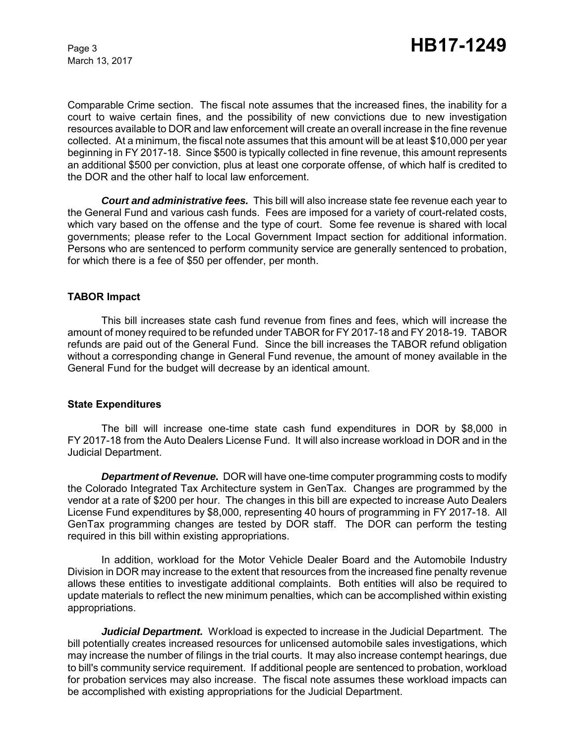March 13, 2017

Comparable Crime section. The fiscal note assumes that the increased fines, the inability for a court to waive certain fines, and the possibility of new convictions due to new investigation resources available to DOR and law enforcement will create an overall increase in the fine revenue collected. At a minimum, the fiscal note assumes that this amount will be at least \$10,000 per year beginning in FY 2017-18. Since \$500 is typically collected in fine revenue, this amount represents an additional \$500 per conviction, plus at least one corporate offense, of which half is credited to the DOR and the other half to local law enforcement.

*Court and administrative fees.* This bill will also increase state fee revenue each year to the General Fund and various cash funds. Fees are imposed for a variety of court-related costs, which vary based on the offense and the type of court. Some fee revenue is shared with local governments; please refer to the Local Government Impact section for additional information. Persons who are sentenced to perform community service are generally sentenced to probation, for which there is a fee of \$50 per offender, per month.

#### **TABOR Impact**

This bill increases state cash fund revenue from fines and fees, which will increase the amount of money required to be refunded under TABOR for FY 2017-18 and FY 2018-19. TABOR refunds are paid out of the General Fund. Since the bill increases the TABOR refund obligation without a corresponding change in General Fund revenue, the amount of money available in the General Fund for the budget will decrease by an identical amount.

#### **State Expenditures**

The bill will increase one-time state cash fund expenditures in DOR by \$8,000 in FY 2017-18 from the Auto Dealers License Fund. It will also increase workload in DOR and in the Judicial Department.

*Department of Revenue.* DOR will have one-time computer programming costs to modify the Colorado Integrated Tax Architecture system in GenTax. Changes are programmed by the vendor at a rate of \$200 per hour. The changes in this bill are expected to increase Auto Dealers License Fund expenditures by \$8,000, representing 40 hours of programming in FY 2017-18. All GenTax programming changes are tested by DOR staff. The DOR can perform the testing required in this bill within existing appropriations.

In addition, workload for the Motor Vehicle Dealer Board and the Automobile Industry Division in DOR may increase to the extent that resources from the increased fine penalty revenue allows these entities to investigate additional complaints. Both entities will also be required to update materials to reflect the new minimum penalties, which can be accomplished within existing appropriations.

*Judicial Department.* Workload is expected to increase in the Judicial Department. The bill potentially creates increased resources for unlicensed automobile sales investigations, which may increase the number of filings in the trial courts. It may also increase contempt hearings, due to bill's community service requirement. If additional people are sentenced to probation, workload for probation services may also increase. The fiscal note assumes these workload impacts can be accomplished with existing appropriations for the Judicial Department.